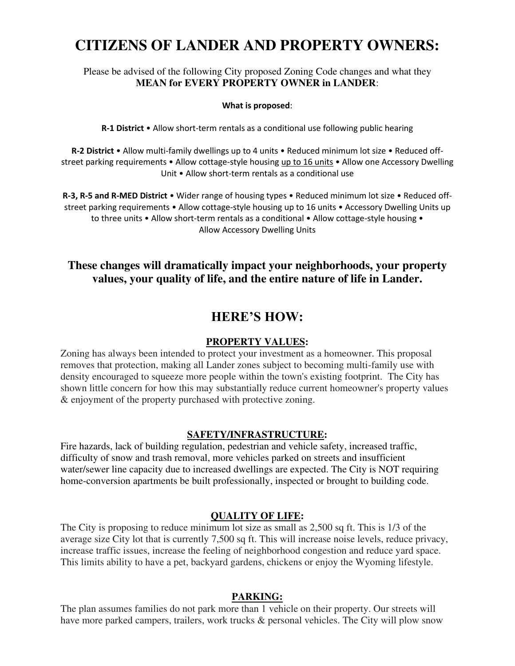# **CITIZENS OF LANDER AND PROPERTY OWNERS:**

# Please be advised of the following City proposed Zoning Code changes and what they **MEAN for EVERY PROPERTY OWNER in LANDER**:

#### **What is proposed**:

**R-1 District** • Allow short-term rentals as a conditional use following public hearing

**R-2 District** • Allow multi-family dwellings up to 4 units • Reduced minimum lot size • Reduced offstreet parking requirements • Allow cottage-style housing up to 16 units • Allow one Accessory Dwelling Unit • Allow short-term rentals as a conditional use

**R-3, R-5 and R-MED District** • Wider range of housing types • Reduced minimum lot size • Reduced offstreet parking requirements • Allow cottage-style housing up to 16 units • Accessory Dwelling Units up to three units • Allow short-term rentals as a conditional • Allow cottage-style housing • Allow Accessory Dwelling Units

# **These changes will dramatically impact your neighborhoods, your property values, your quality of life, and the entire nature of life in Lander.**

# **HERE'S HOW:**

#### **PROPERTY VALUES:**

Zoning has always been intended to protect your investment as a homeowner. This proposal removes that protection, making all Lander zones subject to becoming multi-family use with density encouraged to squeeze more people within the town's existing footprint. The City has shown little concern for how this may substantially reduce current homeowner's property values & enjoyment of the property purchased with protective zoning.

#### **SAFETY/INFRASTRUCTURE:**

Fire hazards, lack of building regulation, pedestrian and vehicle safety, increased traffic, difficulty of snow and trash removal, more vehicles parked on streets and insufficient water/sewer line capacity due to increased dwellings are expected. The City is NOT requiring home-conversion apartments be built professionally, inspected or brought to building code.

#### **QUALITY OF LIFE:**

The City is proposing to reduce minimum lot size as small as 2,500 sq ft. This is 1/3 of the average size City lot that is currently 7,500 sq ft. This will increase noise levels, reduce privacy, increase traffic issues, increase the feeling of neighborhood congestion and reduce yard space. This limits ability to have a pet, backyard gardens, chickens or enjoy the Wyoming lifestyle.

#### **PARKING:**

The plan assumes families do not park more than 1 vehicle on their property. Our streets will have more parked campers, trailers, work trucks & personal vehicles. The City will plow snow